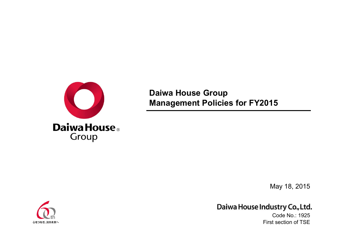

**Daiwa House Group Management Policies for FY2015**

May 18, 2015

Daiwa House Industry Co., Ltd.

Code No.: 1925First section of TSE

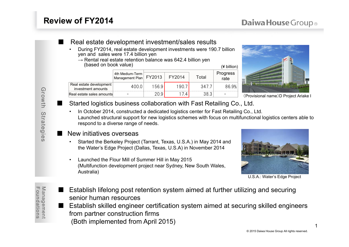## Daiwa House Group<sup>®</sup>

# **Review of FY2014**

### Real estate development investment/sales results

- • During FY2014, real estate development investments were 190.7 billion yen and sales were 17.4 billion yen
	- $\rightarrow$  Rental real estate retention balance was 642.4 billion yen (based on book value)

| (based on book value)                         |                                                      |      |       |       |                  |  |  |
|-----------------------------------------------|------------------------------------------------------|------|-------|-------|------------------|--|--|
|                                               | 4th Medium-Term<br>Management Plan   FY2013   FY2014 |      |       | Total | Progress<br>rate |  |  |
| Real estate development<br>investment amounts | 400 O                                                | 1569 | 190.7 | 3477  | 86.9%            |  |  |
| Real estate sales amounts                     |                                                      |      |       | 38 3  |                  |  |  |



(Provisional name)D Project Ariake I

■

■

■

### Started logistics business collaboration with Fast Retailing Co., Ltd.

• In October 2014, constructed a dedicated logistics center for Fast Retailing Co., Ltd. Launched structural support for new logistics schemes with focus on multifunctional logistics centers able to respond to a diverse range of needs.

### New initiatives overseas

- • Started the Berkeley Project (Tarrant, Texas, U.S.A.) in May 2014 and the Water's Edge Project (Dallas, Texas, U.S.A) in November 2014
- • Launched the Flour Mill of Summer Hill in May 2015 (Multifunction development project near Sydney, New South Wales, Australia)



U.S.A.: Water's Edge Project

- ■ Establish lifelong post retention system aimed at further utilizing and securing senior human resources
- ■ Establish skilled engineer certification system aimed at securing skilled engineers from partner construction firms (Both implemented from April 2015)

Foundations Foundations Management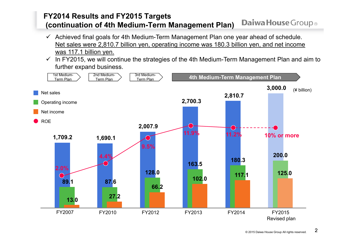#### **FY2014 Results and FY2015 Targets Daiwa House Group**® **(continuation of 4th Medium-Term Management Plan)**

- $\checkmark$  Achieved final goals for 4th Medium-Term Management Plan one year ahead of schedule. Net sales were 2,810.7 billion yen, operating income was 180.3 billion yen, and net income was 117.1 billion yen.
- $\checkmark$  In FY2015, we will continue the strategies of the 4th Medium-Term Management Plan and aim to further expand business.

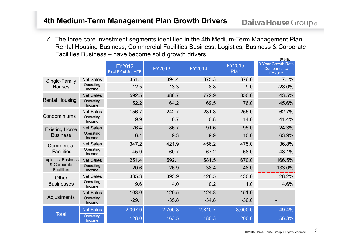$(Y \text{ billion})$  $\checkmark$  The three core investment segments identified in the 4th Medium-Term Management Plan – Rental Housing Business, Commercial Facilities Business, Logistics, Business & Corporate Facilities Business – have become solid growth drivers.

|                                                         |                     |                                      |          | (≢ DIIIION)   |                       |                                             |
|---------------------------------------------------------|---------------------|--------------------------------------|----------|---------------|-----------------------|---------------------------------------------|
|                                                         |                     | <b>FY2012</b><br>Final FY of 3rd MTP | FY2013   | <b>FY2014</b> | <b>FY2015</b><br>Plan | 3-Year Growth Rate<br>Compared to<br>FY2012 |
| Single-Family<br><b>Houses</b>                          | <b>Net Sales</b>    | 351.1                                | 394.4    | 375.3         | 376.0                 | 7.1%                                        |
|                                                         | Operating<br>Income | 12.5                                 | 13.3     | 8.8           | 9.0                   | $-28.0%$                                    |
| <b>Rental Housing</b>                                   | <b>Net Sales</b>    | 592.5                                | 688.7    | 772.9         | 850.0                 | 43.5%                                       |
|                                                         | Operating<br>Income | 52.2                                 | 64.2     | 69.5          | 76.0                  | 45.6%                                       |
| Condominiums                                            | <b>Net Sales</b>    | 156.7                                | 242.7    | 231.3         | 255.0                 | 62.7%                                       |
|                                                         | Operating<br>Income | 9.9                                  | 10.7     | 10.8          | 14.0                  | 41.4%                                       |
| <b>Existing Home</b><br><b>Business</b>                 | <b>Net Sales</b>    | 76.4                                 | 86.7     | 91.6          | 95.0                  | 24.3%                                       |
|                                                         | Operating<br>Income | 6.1                                  | 9.3      | 9.9           | 10.0                  | 63.9%                                       |
| Commercial<br><b>Facilities</b>                         | <b>Net Sales</b>    | 347.2                                | 421.9    | 456.2         | 475.0                 | 36.8%                                       |
|                                                         | Operating<br>Income | 45.9                                 | 60.7     | 67.2          | 68.0                  | 48.1%                                       |
| Logistics, Business<br>& Corporate<br><b>Facilities</b> | <b>Net Sales</b>    | 251.4                                | 592.1    | 581.5         | 670.0                 | 166.5%                                      |
|                                                         | Operating<br>Income | 20.6                                 | 26.9     | 38.4          | 48.0                  | 133.0%                                      |
| Other<br><b>Businesses</b>                              | <b>Net Sales</b>    | 335.3                                | 393.9    | 426.5         | 430.0                 | 28.2%                                       |
|                                                         | Operating<br>Income | 9.6                                  | 14.0     | 10.2          | 11.0                  | 14.6%                                       |
| Adjustments                                             | <b>Net Sales</b>    | $-103.0$                             | $-120.5$ | $-124.8$      | $-151.0$              |                                             |
|                                                         | Operating<br>Income | $-29.1$                              | $-35.8$  | $-34.8$       | $-36.0$               |                                             |
| <b>Total</b>                                            | <b>Net Sales</b>    | 2,007.9                              | 2,700.3  | 2,810.7       | 3,000.0               | 49.4%                                       |
|                                                         | Operating<br>Income | 128.0                                | 163.5    | 180.3         | 200.0                 | 56.3%                                       |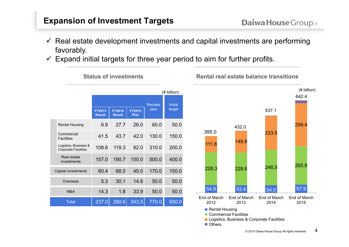## **Expansion of Investment Targets**

- $\checkmark$  Real estate development investments and capital investments are performing favorably.
- $\checkmark$  Expand initial targets for three year period to aim for further profits.





© 2015 Daiwa House Group All rights reserved.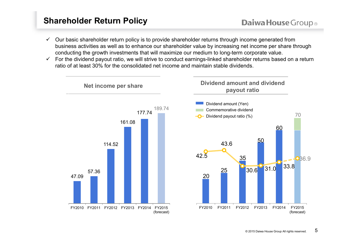## **Shareholder Return Policy**

- $\checkmark$  Our basic shareholder return policy is to provide shareholder returns through income generated from business activities as well as to enhance our shareholder value by increasing net income per share through conducting the growth investments that will maximize our medium to long-term corporate value.
- $\checkmark$  For the dividend payout ratio, we will strive to conduct earnings-linked shareholder returns based on a return ratio of at least 30% for the consolidated net income and maintain stable dividends.